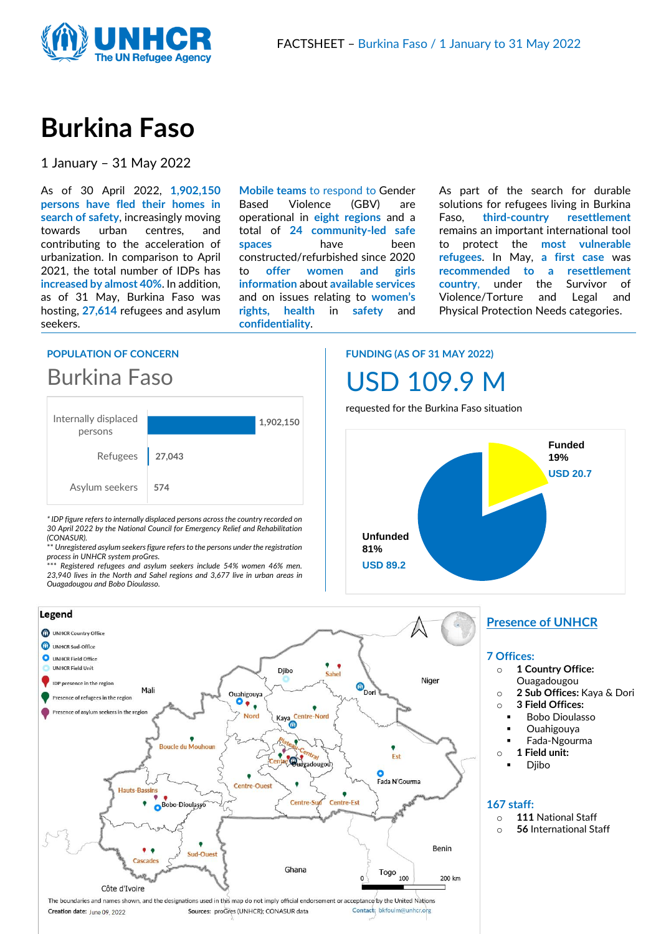

# **Burkina Faso**

1 January – 31 May 2022

As of 30 April 2022, **1,902,150 persons have fled their homes in search of safety**, increasingly moving towards urban centres, and contributing to the acceleration of urbanization. In comparison to April 2021, the total number of IDPs has **increased by almost 40%**. In addition, as of 31 May, Burkina Faso was hosting, **27,614** refugees and asylum seekers.

**Mobile teams** to respond to Gender Based Violence (GBV) are operational in **eight regions** and a total of **24 community-led safe spaces** have been constructed/refurbished since 2020 to **offer women and girls information** about **available services** and on issues relating to **women's rights, health** in **safety** and **confidentiality**.

As part of the search for durable solutions for refugees living in Burkina Faso, **third-country resettlement** remains an important international tool to protect the **most vulnerable refugees**. In May, **a first case** was **recommended to a resettlement country**, under the Survivor of Violence/Torture and Legal and Physical Protection Needs categories.

#### **POPULATION OF CONCERN**

## Burkina Faso



*\* IDP figure refers to internally displaced persons across the country recorded on 30 April 2022 by the National Council for Emergency Relief and Rehabilitation (CONASUR).* 

\*\* *Unregistered asylum seekers figure refers to the persons under the registration process in UNHCR system proGres.*

\*\*\* *Registered refugees and asylum seekers include 54% women 46% men. 23,940 lives in the North and Sahel regions and 3,677 live in urban areas in Ouagadougou and Bobo Dioulasso.*

## **FUNDING (AS OF 31 MAY 2022)**



requested for the Burkina Faso situation





#### **Presence of UNHCR**

#### **7 Offices:**

- o **1 Country Office:**
- Ouagadougou
- o **2 Sub Offices:** Kaya & Dori
- o **3 Field Offices:** 
	- **Bobo Dioulasso**
	- **Ouahigouya**
- Fada-Ngourma o **1 Field unit:** 
	- **Djibo**

#### **167 staff:**

- o **111** National Staff
- o **56** International Staff

Creation date: June 09, 2022

Sources: proGres (UNHCR); CONASUR data

Contact: bkfouim@unhcr.org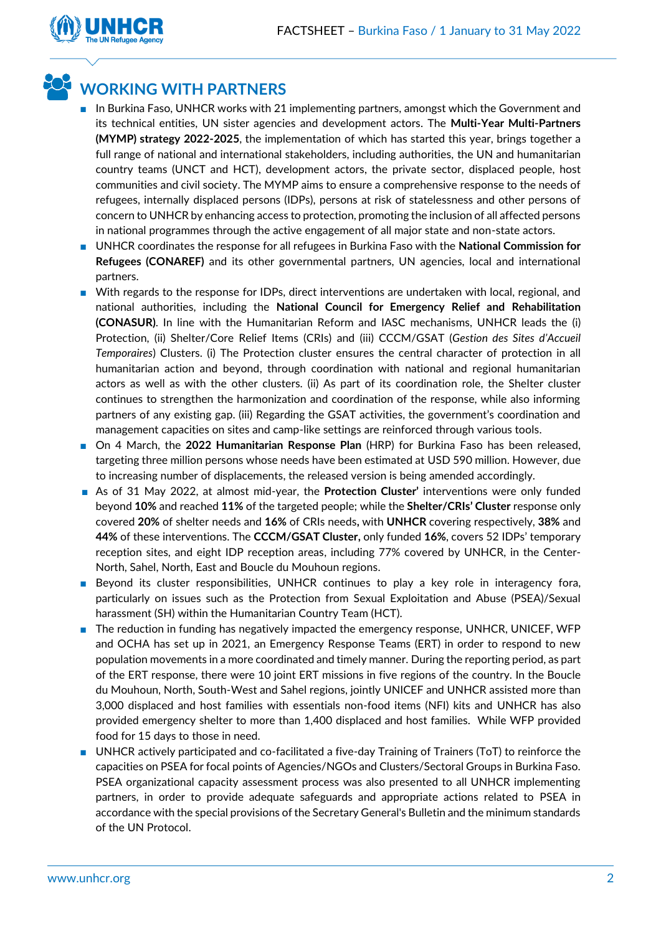

### **WORKING WITH PARTNERS**

- In Burkina Faso, UNHCR works with 21 implementing partners, amongst which the Government and its technical entities, UN sister agencies and development actors. The **Multi-Year Multi-Partners (MYMP) strategy 2022-2025**, the implementation of which has started this year, brings together a full range of national and international stakeholders, including authorities, the UN and humanitarian country teams (UNCT and HCT), development actors, the private sector, displaced people, host communities and civil society. The MYMP aims to ensure a comprehensive response to the needs of refugees, internally displaced persons (IDPs), persons at risk of statelessness and other persons of concern to UNHCR by enhancing access to protection, promoting the inclusion of all affected persons in national programmes through the active engagement of all major state and non-state actors.
- UNHCR coordinates the response for all refugees in Burkina Faso with the **National Commission for Refugees (CONAREF)** and its other governmental partners, UN agencies, local and international partners.
- With regards to the response for IDPs, direct interventions are undertaken with local, regional, and national authorities, including the **National Council for Emergency Relief and Rehabilitation (CONASUR)**. In line with the Humanitarian Reform and IASC mechanisms, UNHCR leads the (i) Protection, (ii) Shelter/Core Relief Items (CRIs) and (iii) CCCM/GSAT (*Gestion des Sites d'Accueil Temporaires*) Clusters. (i) The Protection cluster ensures the central character of protection in all humanitarian action and beyond, through coordination with national and regional humanitarian actors as well as with the other clusters. (ii) As part of its coordination role, the Shelter cluster continues to strengthen the harmonization and coordination of the response, while also informing partners of any existing gap. (iii) Regarding the GSAT activities, the government's coordination and management capacities on sites and camp-like settings are reinforced through various tools.
- On 4 March, the 2022 Humanitarian Response Plan (HRP) for Burkina Faso has been released, targeting three million persons whose needs have been estimated at USD 590 million. However, due to increasing number of displacements, the released version is being amended accordingly.
- As of 31 May 2022, at almost mid-year, the **Protection Cluster'** interventions were only funded beyond **10%** and reached **11%** of the targeted people; while the **Shelter/CRIs' Cluster** response only covered **20%** of shelter needs and **16%** of CRIs needs**,** with **UNHCR** covering respectively, **38%** and **44%** of these interventions. The **CCCM/GSAT Cluster,** only funded **16%**, covers 52 IDPs' temporary reception sites, and eight IDP reception areas, including 77% covered by UNHCR, in the Center-North, Sahel, North, East and Boucle du Mouhoun regions.
- Beyond its cluster responsibilities, UNHCR continues to play a key role in interagency fora, particularly on issues such as the Protection from Sexual Exploitation and Abuse (PSEA)/Sexual harassment (SH) within the Humanitarian Country Team (HCT).
- The reduction in funding has negatively impacted the emergency response, UNHCR, UNICEF, WFP and OCHA has set up in 2021, an Emergency Response Teams (ERT) in order to respond to new population movements in a more coordinated and timely manner. During the reporting period, as part of the ERT response, there were 10 joint ERT missions in five regions of the country. In the Boucle du Mouhoun, North, South-West and Sahel regions, jointly UNICEF and UNHCR assisted more than 3,000 displaced and host families with essentials non-food items (NFI) kits and UNHCR has also provided emergency shelter to more than 1,400 displaced and host families. While WFP provided food for 15 days to those in need.
- UNHCR actively participated and co-facilitated a five-day Training of Trainers (ToT) to reinforce the capacities on PSEA for focal points of Agencies/NGOs and Clusters/Sectoral Groups in Burkina Faso. PSEA organizational capacity assessment process was also presented to all UNHCR implementing partners, in order to provide adequate safeguards and appropriate actions related to PSEA in accordance with the special provisions of the Secretary General's Bulletin and the minimum standards of the UN Protocol.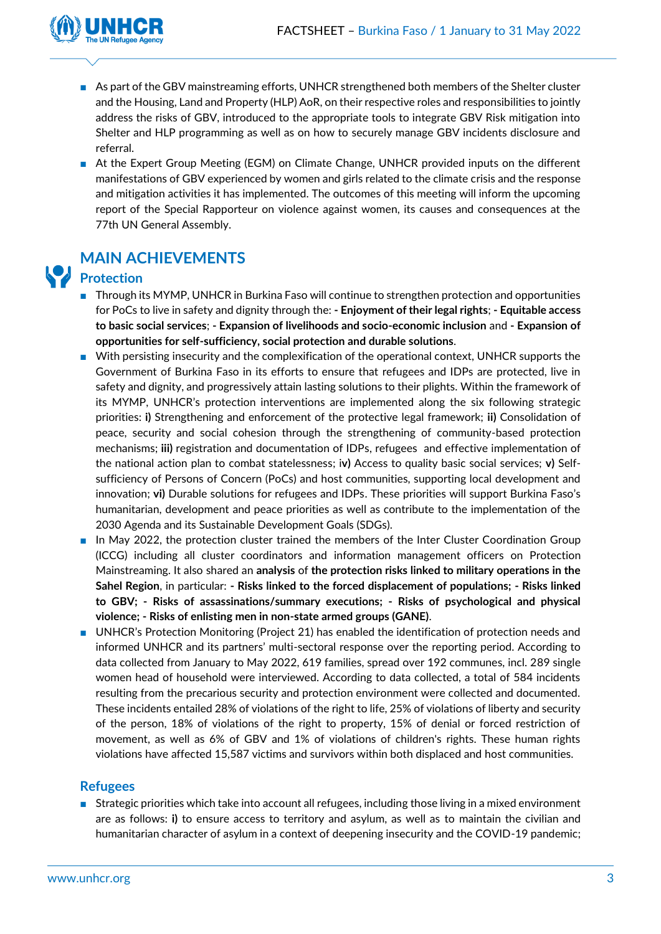

- As part of the GBV mainstreaming efforts, UNHCR strengthened both members of the Shelter cluster and the Housing, Land and Property (HLP) AoR, on their respective roles and responsibilities to jointly address the risks of GBV, introduced to the appropriate tools to integrate GBV Risk mitigation into Shelter and HLP programming as well as on how to securely manage GBV incidents disclosure and referral.
- At the Expert Group Meeting (EGM) on Climate Change, UNHCR provided inputs on the different manifestations of GBV experienced by women and girls related to the climate crisis and the response and mitigation activities it has implemented. The outcomes of this meeting will inform the upcoming report of the Special Rapporteur on violence against women, its causes and consequences at the 77th UN General Assembly.



## **MAIN ACHIEVEMENTS**

- **Protection**
	- Through its MYMP, UNHCR in Burkina Faso will continue to strengthen protection and opportunities for PoCs to live in safety and dignity through the: **- Enjoyment of their legal rights**; **- Equitable access to basic social services**; **- Expansion of livelihoods and socio-economic inclusion** and **- Expansion of opportunities for self-sufficiency, social protection and durable solutions**.
	- With persisting insecurity and the complexification of the operational context, UNHCR supports the Government of Burkina Faso in its efforts to ensure that refugees and IDPs are protected, live in safety and dignity, and progressively attain lasting solutions to their plights. Within the framework of its MYMP, UNHCR's protection interventions are implemented along the six following strategic priorities: **i)** Strengthening and enforcement of the protective legal framework; **ii)** Consolidation of peace, security and social cohesion through the strengthening of community-based protection mechanisms; **iii)** registration and documentation of IDPs, refugees and effective implementation of the national action plan to combat statelessness; i**v)** Access to quality basic social services; **v)** Selfsufficiency of Persons of Concern (PoCs) and host communities, supporting local development and innovation; **vi)** Durable solutions for refugees and IDPs. These priorities will support Burkina Faso's humanitarian, development and peace priorities as well as contribute to the implementation of the 2030 Agenda and its Sustainable Development Goals (SDGs).
	- In May 2022, the protection cluster trained the members of the Inter Cluster Coordination Group (ICCG) including all cluster coordinators and information management officers on Protection Mainstreaming. It also shared an **analysis** of **the protection risks linked to military operations in the Sahel Region**, in particular: **- Risks linked to the forced displacement of populations; - Risks linked to GBV; - Risks of assassinations/summary executions; - Risks of psychological and physical violence; - Risks of enlisting men in non-state armed groups (GANE)**.
	- UNHCR's Protection Monitoring (Project 21) has enabled the identification of protection needs and informed UNHCR and its partners' multi-sectoral response over the reporting period. According to data collected from January to May 2022, 619 families, spread over 192 communes, incl. 289 single women head of household were interviewed. According to data collected, a total of 584 incidents resulting from the precarious security and protection environment were collected and documented. These incidents entailed 28% of violations of the right to life, 25% of violations of liberty and security of the person, 18% of violations of the right to property, 15% of denial or forced restriction of movement, as well as 6% of GBV and 1% of violations of children's rights. These human rights violations have affected 15,587 victims and survivors within both displaced and host communities.

#### **Refugees**

■ Strategic priorities which take into account all refugees, including those living in a mixed environment are as follows: **i)** to ensure access to territory and asylum, as well as to maintain the civilian and humanitarian character of asylum in a context of deepening insecurity and the COVID-19 pandemic;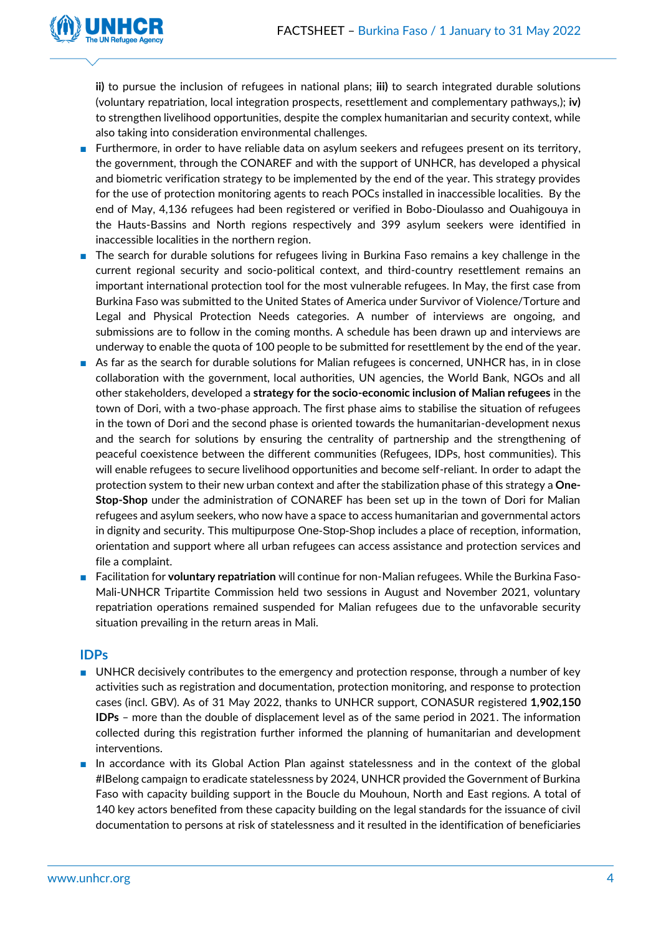

**ii)** to pursue the inclusion of refugees in national plans; **iii)** to search integrated durable solutions (voluntary repatriation, local integration prospects, resettlement and complementary pathways,); **iv)** to strengthen livelihood opportunities, despite the complex humanitarian and security context, while also taking into consideration environmental challenges.

- Furthermore, in order to have reliable data on asylum seekers and refugees present on its territory, the government, through the CONAREF and with the support of UNHCR, has developed a physical and biometric verification strategy to be implemented by the end of the year. This strategy provides for the use of protection monitoring agents to reach POCs installed in inaccessible localities. By the end of May, 4,136 refugees had been registered or verified in Bobo-Dioulasso and Ouahigouya in the Hauts-Bassins and North regions respectively and 399 asylum seekers were identified in inaccessible localities in the northern region.
- The search for durable solutions for refugees living in Burkina Faso remains a key challenge in the current regional security and socio-political context, and third-country resettlement remains an important international protection tool for the most vulnerable refugees. In May, the first case from Burkina Faso was submitted to the United States of America under Survivor of Violence/Torture and Legal and Physical Protection Needs categories. A number of interviews are ongoing, and submissions are to follow in the coming months. A schedule has been drawn up and interviews are underway to enable the quota of 100 people to be submitted for resettlement by the end of the year.
- As far as the search for durable solutions for Malian refugees is concerned, UNHCR has, in in close collaboration with the government, local authorities, UN agencies, the World Bank, NGOs and all other stakeholders, developed a **strategy for the socio-economic inclusion of Malian refugees** in the town of Dori, with a two-phase approach. The first phase aims to stabilise the situation of refugees in the town of Dori and the second phase is oriented towards the humanitarian-development nexus and the search for solutions by ensuring the centrality of partnership and the strengthening of peaceful coexistence between the different communities (Refugees, IDPs, host communities). This will enable refugees to secure livelihood opportunities and become self-reliant. In order to adapt the protection system to their new urban context and after the stabilization phase of this strategy a **One-Stop-Shop** under the administration of CONAREF has been set up in the town of Dori for Malian refugees and asylum seekers, who now have a space to access humanitarian and governmental actors in dignity and security. This multipurpose One-Stop-Shop includes a place of reception, information, orientation and support where all urban refugees can access assistance and protection services and file a complaint.
- Facilitation for **voluntary repatriation** will continue for non-Malian refugees. While the Burkina Faso-Mali-UNHCR Tripartite Commission held two sessions in August and November 2021, voluntary repatriation operations remained suspended for Malian refugees due to the unfavorable security situation prevailing in the return areas in Mali.

#### **IDPs**

- UNHCR decisively contributes to the emergency and protection response, through a number of key activities such as registration and documentation, protection monitoring, and response to protection cases (incl. GBV). As of 31 May 2022, thanks to UNHCR support, CONASUR registered **1,902,150 IDPs** – more than the double of displacement level as of the same period in 2021. The information collected during this registration further informed the planning of humanitarian and development interventions.
- In accordance with its Global Action Plan against statelessness and in the context of the global #IBelong campaign to eradicate statelessness by 2024, UNHCR provided the Government of Burkina Faso with capacity building support in the Boucle du Mouhoun, North and East regions. A total of 140 key actors benefited from these capacity building on the legal standards for the issuance of civil documentation to persons at risk of statelessness and it resulted in the identification of beneficiaries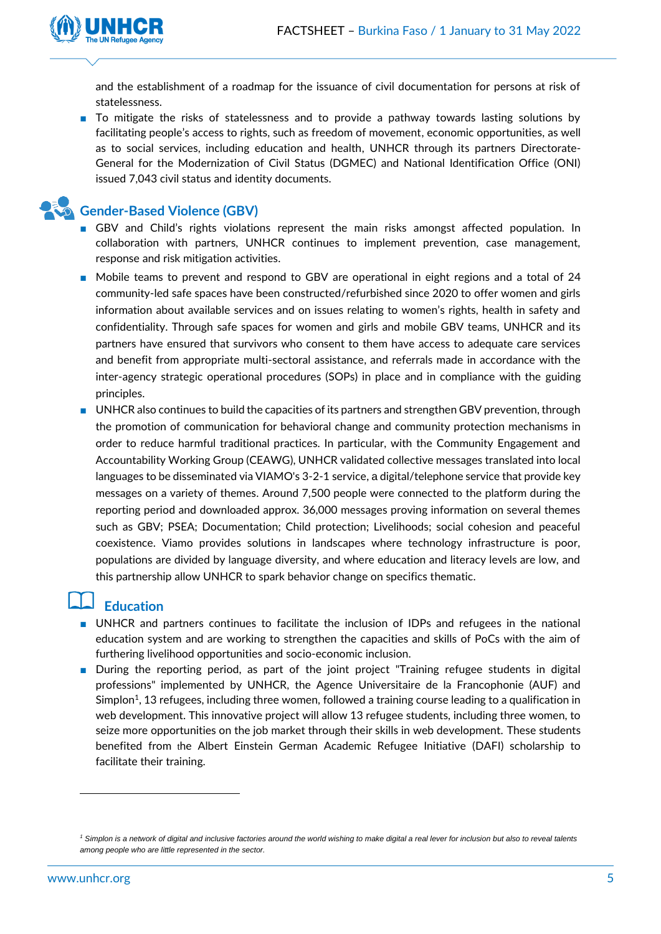

and the establishment of a roadmap for the issuance of civil documentation for persons at risk of statelessness.

■ To mitigate the risks of statelessness and to provide a pathway towards lasting solutions by facilitating people's access to rights, such as freedom of movement, economic opportunities, as well as to social services, including education and health, UNHCR through its partners Directorate-General for the Modernization of Civil Status (DGMEC) and National Identification Office (ONI) issued 7,043 civil status and identity documents.

### **Gender-Based Violence (GBV)**

- GBV and Child's rights violations represent the main risks amongst affected population. In collaboration with partners, UNHCR continues to implement prevention, case management, response and risk mitigation activities.
- Mobile teams to prevent and respond to GBV are operational in eight regions and a total of 24 community-led safe spaces have been constructed/refurbished since 2020 to offer women and girls information about available services and on issues relating to women's rights, health in safety and confidentiality. Through safe spaces for women and girls and mobile GBV teams, UNHCR and its partners have ensured that survivors who consent to them have access to adequate care services and benefit from appropriate multi-sectoral assistance, and referrals made in accordance with the inter-agency strategic operational procedures (SOPs) in place and in compliance with the guiding principles.
- UNHCR also continues to build the capacities of its partners and strengthen GBV prevention, through the promotion of communication for behavioral change and community protection mechanisms in order to reduce harmful traditional practices. In particular, with the Community Engagement and Accountability Working Group (CEAWG), UNHCR validated collective messages translated into local languages to be disseminated via VIAMO's 3-2-1 service, a digital/telephone service that provide key messages on a variety of themes. Around 7,500 people were connected to the platform during the reporting period and downloaded approx. 36,000 messages proving information on several themes such as GBV; PSEA; Documentation; Child protection; Livelihoods; social cohesion and peaceful coexistence. Viamo provides solutions in landscapes where technology infrastructure is poor, populations are divided by language diversity, and where education and literacy levels are low, and this partnership allow UNHCR to spark behavior change on specifics thematic.

#### **Education**

- UNHCR and partners continues to facilitate the inclusion of IDPs and refugees in the national education system and are working to strengthen the capacities and skills of PoCs with the aim of furthering livelihood opportunities and socio-economic inclusion.
- During the reporting period, as part of the joint project "Training refugee students in digital professions" implemented by UNHCR, the Agence Universitaire de la Francophonie (AUF) and Simplon<sup>1</sup>, 13 refugees, including three women, followed a training course leading to a qualification in web development. This innovative project will allow 13 refugee students, including three women, to seize more opportunities on the job market through their skills in web development. These students benefited from the Albert Einstein German Academic Refugee Initiative (DAFI) scholarship to facilitate their training.

*<sup>1</sup> Simplon is a network of digital and inclusive factories around the world wishing to make digital a real lever for inclusion but also to reveal talents among people who are little represented in the sector.*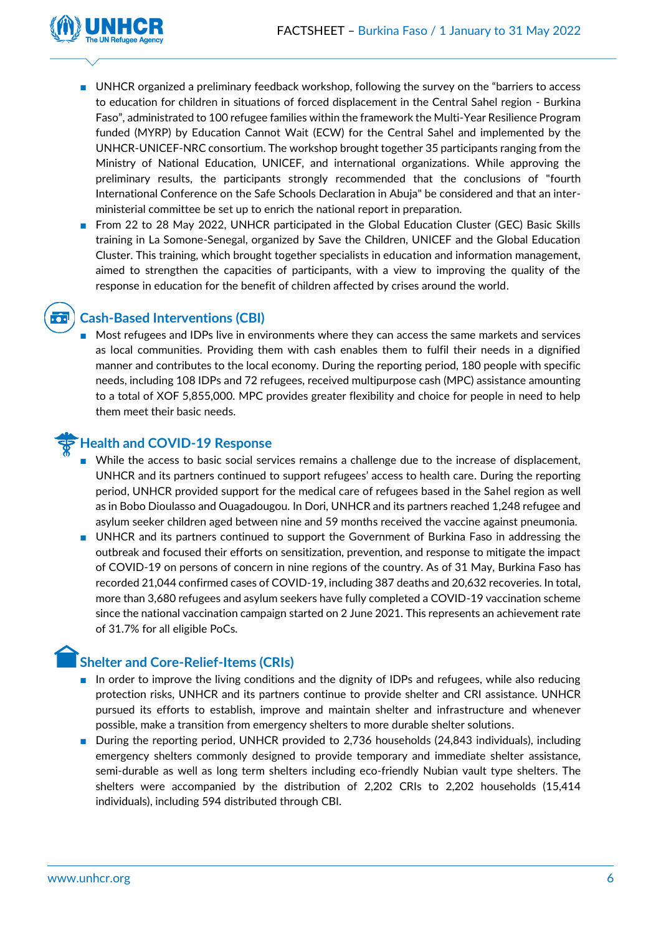

**...** 

- UNHCR organized a preliminary feedback workshop, following the survey on the "barriers to access to education for children in situations of forced displacement in the Central Sahel region - Burkina Faso", administrated to 100 refugee families within the framework the Multi-Year Resilience Program funded (MYRP) by Education Cannot Wait (ECW) for the Central Sahel and implemented by the UNHCR-UNICEF-NRC consortium. The workshop brought together 35 participants ranging from the Ministry of National Education, UNICEF, and international organizations. While approving the preliminary results, the participants strongly recommended that the conclusions of "fourth International Conference on the Safe Schools Declaration in Abuja" be considered and that an interministerial committee be set up to enrich the national report in preparation.
- From 22 to 28 May 2022, UNHCR participated in the Global Education Cluster (GEC) Basic Skills training in La Somone-Senegal, organized by Save the Children, UNICEF and the Global Education Cluster. This training, which brought together specialists in education and information management, aimed to strengthen the capacities of participants, with a view to improving the quality of the response in education for the benefit of children affected by crises around the world.

#### **Cash-Based Interventions (CBI)**

Most refugees and IDPs live in environments where they can access the same markets and services as local communities. Providing them with cash enables them to fulfil their needs in a dignified manner and contributes to the local economy. During the reporting period, 180 people with specific needs, including 108 IDPs and 72 refugees, received multipurpose cash (MPC) assistance amounting to a total of XOF 5,855,000. MPC provides greater flexibility and choice for people in need to help them meet their basic needs.

#### **Health and COVID-19 Response**

- While the access to basic social services remains a challenge due to the increase of displacement, UNHCR and its partners continued to support refugees' access to health care. During the reporting period, UNHCR provided support for the medical care of refugees based in the Sahel region as well as in Bobo Dioulasso and Ouagadougou. In Dori, UNHCR and its partners reached 1,248 refugee and asylum seeker children aged between nine and 59 months received the vaccine against pneumonia.
- UNHCR and its partners continued to support the Government of Burkina Faso in addressing the outbreak and focused their efforts on sensitization, prevention, and response to mitigate the impact of COVID-19 on persons of concern in nine regions of the country. As of 31 May, Burkina Faso has recorded 21,044 confirmed cases of COVID-19, including 387 deaths and 20,632 recoveries. In total, more than 3,680 refugees and asylum seekers have fully completed a COVID-19 vaccination scheme since the national vaccination campaign started on 2 June 2021. This represents an achievement rate of 31.7% for all eligible PoCs.

#### **Shelter and Core-Relief-Items (CRIs)**

- In order to improve the living conditions and the dignity of IDPs and refugees, while also reducing protection risks, UNHCR and its partners continue to provide shelter and CRI assistance. UNHCR pursued its efforts to establish, improve and maintain shelter and infrastructure and whenever possible, make a transition from emergency shelters to more durable shelter solutions.
- During the reporting period, UNHCR provided to 2,736 households (24,843 individuals), including emergency shelters commonly designed to provide temporary and immediate shelter assistance, semi-durable as well as long term shelters including eco-friendly Nubian vault type shelters. The shelters were accompanied by the distribution of 2,202 CRIs to 2,202 households (15,414 individuals), including 594 distributed through CBI.